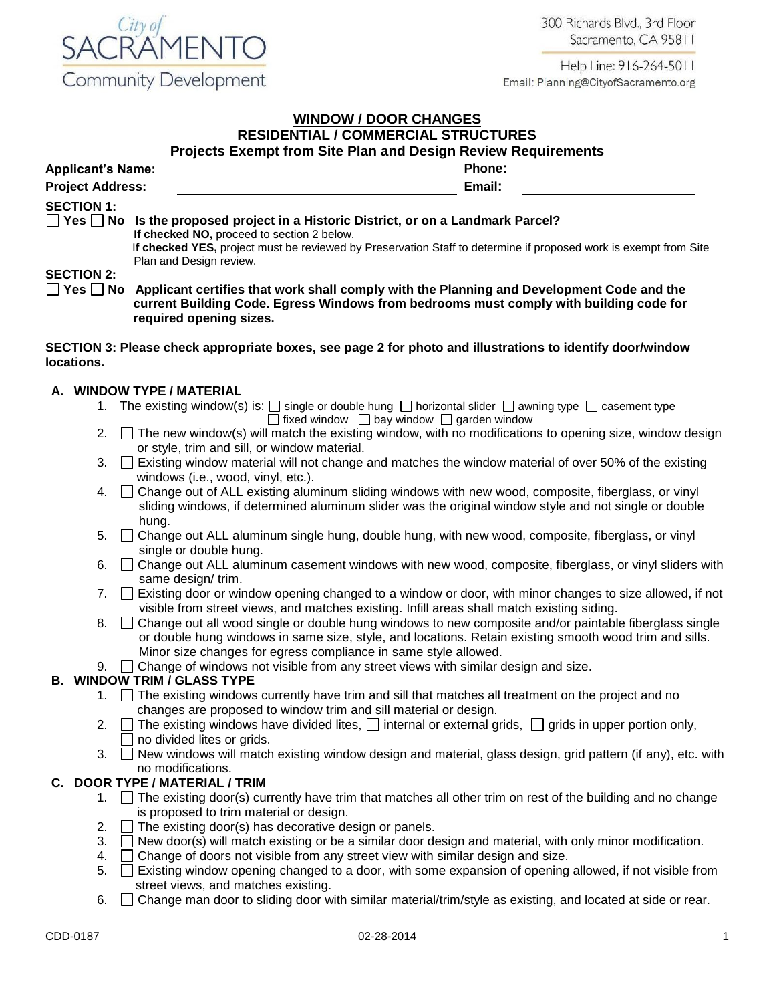300 Richards Blvd., 3rd Floor Sacramento, CA 95811



Help Line: 916-264-5011 Email: Planning@CityofSacramento.org

#### **WINDOW / DOOR CHANGES RESIDENTIAL / COMMERCIAL STRUCTURES**

|  |  | <b>RESIDENTIAL/COMMERCIAL STRUCTURES</b>                      |  |
|--|--|---------------------------------------------------------------|--|
|  |  | Projects Exempt from Site Plan and Design Review Requirements |  |

| <b>Applicant's Name:</b> |                                                                                               | <b>Phone:</b> |  |  |  |  |
|--------------------------|-----------------------------------------------------------------------------------------------|---------------|--|--|--|--|
| <b>Project Address:</b>  |                                                                                               | Email:        |  |  |  |  |
| <b>SECTION 1:</b>        | $\Box$ Yes $\Box$ No Is the proposed project in a Historic District, or on a Landmark Parcel? |               |  |  |  |  |
|                          | If checked NO, proceed to section 2 below.                                                    |               |  |  |  |  |

 I**f checked YES,** project must be reviewed by Preservation Staff to determine if proposed work is exempt from Site Plan and Design review.

# **SECTION 2:**

**Yes No Applicant certifies that work shall comply with the Planning and Development Code and the current Building Code. Egress Windows from bedrooms must comply with building code for required opening sizes.**

#### **SECTION 3: Please check appropriate boxes, see page 2 for photo and illustrations to identify door/window locations.**

## **A. WINDOW TYPE / MATERIAL**

- 1. The existing window(s) is:  $\Box$  single or double hung  $\Box$  horizontal slider  $\Box$  awning type  $\Box$  casement type  $\Box$  fixed window  $\Box$  bay window  $\Box$  garden window
- 2.  $\square$  The new window(s) will match the existing window, with no modifications to opening size, window design or style, trim and sill, or window material.
- 3. Existing window material will not change and matches the window material of over 50% of the existing windows (i.e., wood, vinyl, etc.).
- 4.  $\Box$  Change out of ALL existing aluminum sliding windows with new wood, composite, fiberglass, or vinyl sliding windows, if determined aluminum slider was the original window style and not single or double hung.
- 5.  $\Box$  Change out ALL aluminum single hung, double hung, with new wood, composite, fiberglass, or vinyl single or double hung.
- 6. Change out ALL aluminum casement windows with new wood, composite, fiberglass, or vinyl sliders with same design/ trim.
- 7.  $\Box$  Existing door or window opening changed to a window or door, with minor changes to size allowed, if not visible from street views, and matches existing. Infill areas shall match existing siding.
- 8.  $\Box$  Change out all wood single or double hung windows to new composite and/or paintable fiberglass single or double hung windows in same size, style, and locations. Retain existing smooth wood trim and sills. Minor size changes for egress compliance in same style allowed.
- 9.  $\Box$  Change of windows not visible from any street views with similar design and size.

# **B. WINDOW TRIM / GLASS TYPE**

- 1. The existing windows currently have trim and sill that matches all treatment on the project and no changes are proposed to window trim and sill material or design.
- 2.  $\Box$  The existing windows have divided lites,  $\Box$  internal or external grids,  $\Box$  grids in upper portion only, no divided lites or grids.
- 3.  $\Box$  New windows will match existing window design and material, glass design, grid pattern (if any), etc. with no modifications.

# **C. DOOR TYPE / MATERIAL / TRIM**

- 1.  $\Box$  The existing door(s) currently have trim that matches all other trim on rest of the building and no change is proposed to trim material or design.
- 2.  $\Box$  The existing door(s) has decorative design or panels.
- 3.  $\Box$  New door(s) will match existing or be a similar door design and material, with only minor modification.
- 4.  $\Box$  Change of doors not visible from any street view with similar design and size.
- 5.  $\Box$  Existing window opening changed to a door, with some expansion of opening allowed, if not visible from street views, and matches existing.
- 6.  $\Box$  Change man door to sliding door with similar material/trim/style as existing, and located at side or rear.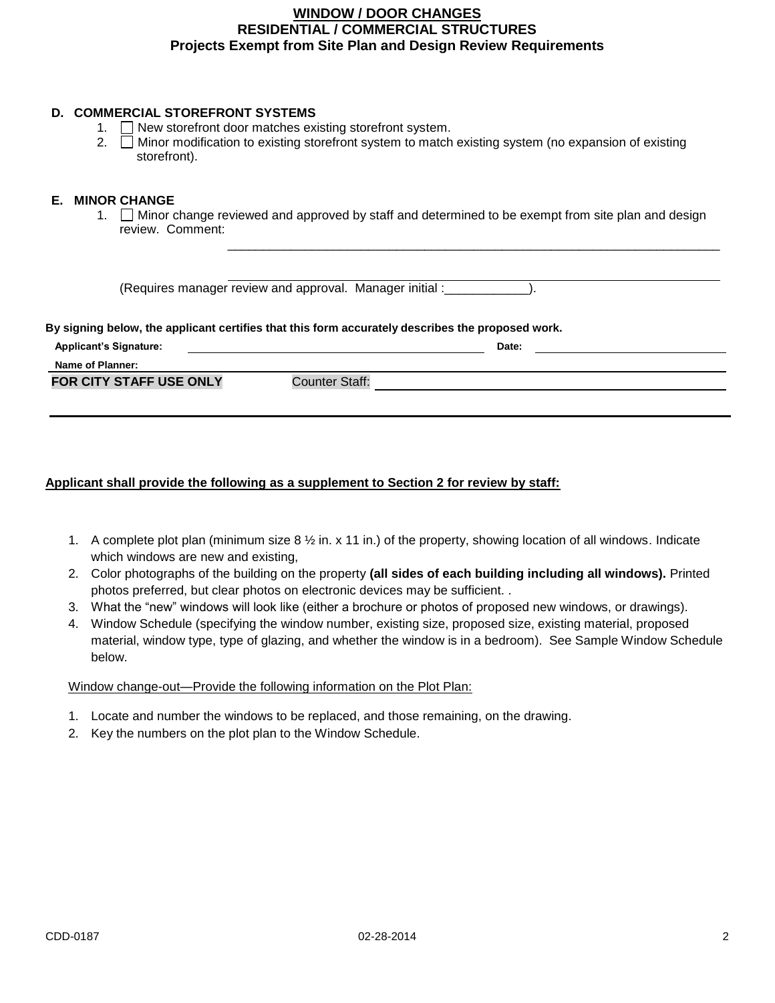## **WINDOW / DOOR CHANGES RESIDENTIAL / COMMERCIAL STRUCTURES Projects Exempt from Site Plan and Design Review Requirements**

#### **D. COMMERCIAL STOREFRONT SYSTEMS**

- 1. New storefront door matches existing storefront system.
- 2.  $\Box$  Minor modification to existing storefront system to match existing system (no expansion of existing storefront).

#### **E. MINOR CHANGE**

1. Minor change reviewed and approved by staff and determined to be exempt from site plan and design review. Comment:

\_\_\_\_\_\_\_\_\_\_\_\_\_\_\_\_\_\_\_\_\_\_\_\_\_\_\_\_\_\_\_\_\_\_\_\_\_\_\_\_\_\_\_\_\_\_\_\_\_\_\_\_\_\_\_\_\_\_\_\_\_\_\_\_\_\_\_\_\_\_

(Requires manager review and approval. Manager initial :\_\_\_\_\_\_\_\_\_\_\_\_).

#### **By signing below, the applicant certifies that this form accurately describes the proposed work.**

| <b>Applicant's Signature:</b>  |                | Date: |  |
|--------------------------------|----------------|-------|--|
| Name of Planner:               |                |       |  |
| <b>FOR CITY STAFF USE ONLY</b> | Counter Staff: |       |  |

### **Applicant shall provide the following as a supplement to Section 2 for review by staff:**

- 1. A complete plot plan (minimum size 8 ½ in. x 11 in.) of the property, showing location of all windows. Indicate which windows are new and existing,
- 2. Color photographs of the building on the property **(all sides of each building including all windows).** Printed photos preferred, but clear photos on electronic devices may be sufficient. .
- 3. What the "new" windows will look like (either a brochure or photos of proposed new windows, or drawings).
- 4. Window Schedule (specifying the window number, existing size, proposed size, existing material, proposed material, window type, type of glazing, and whether the window is in a bedroom). See Sample Window Schedule below.

### Window change-out—Provide the following information on the Plot Plan:

- 1. Locate and number the windows to be replaced, and those remaining, on the drawing.
- 2. Key the numbers on the plot plan to the Window Schedule.